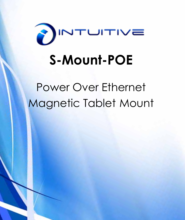

# **S-Mount-POE**

# Power Over Ethernet Magnetic Tablet Mount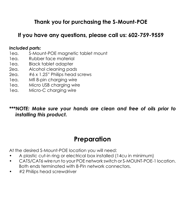### **Thank you for purchasing the S-Mount-POE**

## **If you have any questions, please call us: 602-759-9559**

#### *Included parts:*

- 1ea. S-Mount-POE magnetic tablet mount
- 1ea. Rubber face material
- 1ea. Black tablet adapter
- 2ea. Alcohol cleaning pads<br>2ea. #6 x 1.25" Philips head
- #6 x 1.25" Philips head screws
- 1ea. Mfi 8-pin charaina wire
- 1ea. Micro USB charging wire
- 1ea. Micro-C charging wire

### *\*\*\*NOTE: Make sure your hands are clean and free of oils prior to installing this product.*

## **Preparation**

At the desired S-Mount-POE location you will need:

- • A plastic cut-in ring or electrical box installed (14cu in minimum)
- • CAT5/CAT6 wire run to your POE network switch or S-MOUNT-POE-1 location. Both ends terminated with 8-Pin network connectors.
- #2 Philips head screwdriver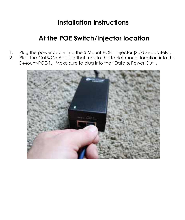## **Installation instructions**

## **At the POE Switch/Injector location**

- 1. Plug the power cable into the S-Mount-POE-1 injector (Sold Separately).<br>2. Plug the Cat5/Cat6 cable that runs to the tablet mount location into the
- Plug the Cat5/Cat6 cable that runs to the tablet mount location into the S-Mount-POE-1. Make sure to plug into the "Data & Power Out".

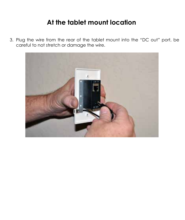## **At the tablet mount location**

3. Plug the wire from the rear of the tablet mount into the "DC out" port, be careful to not stretch or damage the wire.

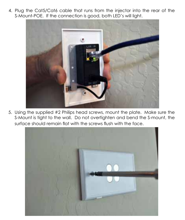4. Plug the Cat5/Cat6 cable that runs from the injector into the rear of the S-Mount-POE. If the connection is good, both LED's will light.



5. Using the supplied #2 Philips head screws, mount the plate. Make sure the S-Mount is tight to the wall. Do not overtighten and bend the S-mount, the surface should remain flat with the screws flush with the face.

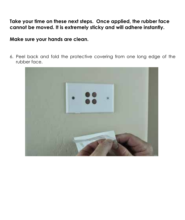### **Take your time on these next steps. Once applied, the rubber face cannot be moved. It is extremely sticky and will adhere instantly.**

#### **Make sure your hands are clean.**

6. Peel back and fold the protective covering from one long edge of the rubber face.

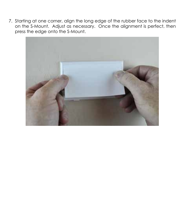7. Starting at one corner, align the long edge of the rubber face to the indent on the S-Mount. Adjust as necessary. Once the alignment is perfect, then press the edge onto the S-Mount.

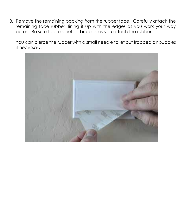8. Remove the remaining backing from the rubber face. Carefully attach the remaining face rubber, lining it up with the edges as you work your way across. Be sure to press out air bubbles as you attach the rubber.

You can pierce the rubber with a small needle to let out trapped air bubbles if necessary.

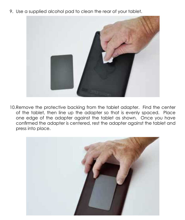9. Use a supplied alcohol pad to clean the rear of your tablet.



10.Remove the protective backing from the tablet adapter. Find the center of the tablet, then line up the adapter so that is evenly spaced. Place one edge of the adapter against the tablet as shown. Once you have confirmed the adapter is centered, rest the adapter against the tablet and press into place.

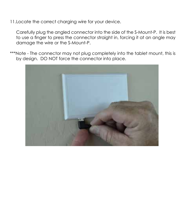11.Locate the correct charging wire for your device.

Carefully plug the angled connector into the side of the S-Mount-P. It is best to use a finger to press the connector straight in, forcing it at an angle may damage the wire or the S-Mount-P.

\*\*\*Note - The connector may not plug completely into the tablet mount, this is by design. DO NOT force the connector into place.

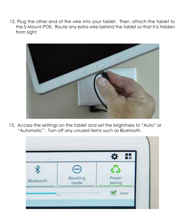12. Plug the other end of the wire into your tablet. Then, attach the tablet to the S-Mount-POE. Route any extra wire behind the tablet so that it is hidden from sight.



13. Access the settings on the tablet and set the brightness to "Auto" or "Automatic". Turn off any unused items such as Bluetooth.